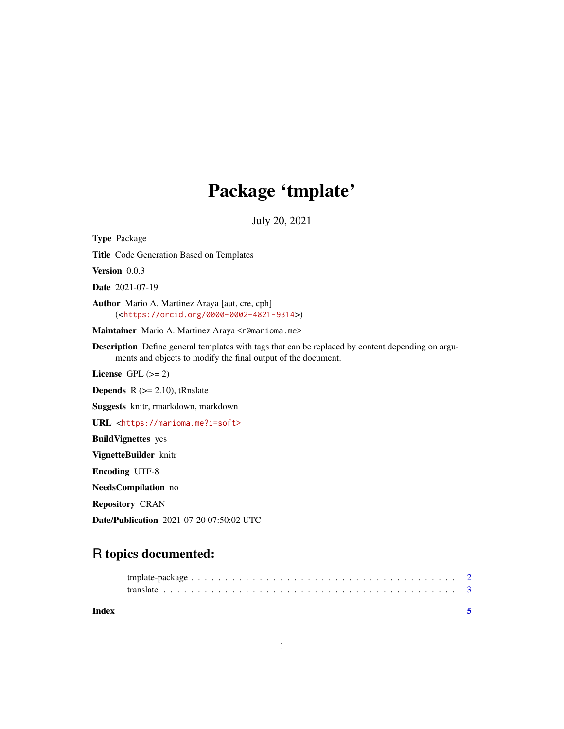## Package 'tmplate'

July 20, 2021

<span id="page-0-0"></span>Type Package Title Code Generation Based on Templates Version 0.0.3 Date 2021-07-19 Author Mario A. Martinez Araya [aut, cre, cph] (<<https://orcid.org/0000-0002-4821-9314>>) Maintainer Mario A. Martinez Araya <r@marioma.me> Description Define general templates with tags that can be replaced by content depending on arguments and objects to modify the final output of the document. License GPL  $(>= 2)$ **Depends** R  $(>= 2.10)$ , tRnslate Suggests knitr, rmarkdown, markdown URL <<https://marioma.me?i=soft>> BuildVignettes yes VignetteBuilder knitr Encoding UTF-8 NeedsCompilation no Repository CRAN Date/Publication 2021-07-20 07:50:02 UTC

### R topics documented:

| Index |  |
|-------|--|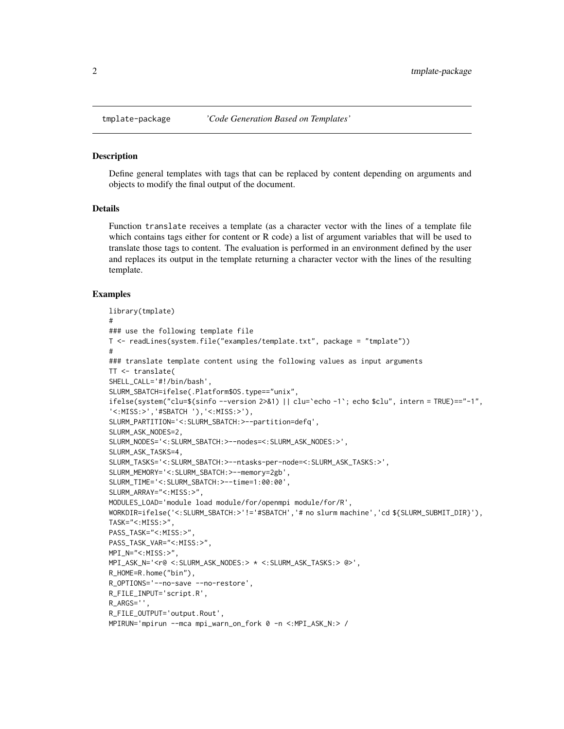#### Description

Define general templates with tags that can be replaced by content depending on arguments and objects to modify the final output of the document.

#### Details

Function translate receives a template (as a character vector with the lines of a template file which contains tags either for content or R code) a list of argument variables that will be used to translate those tags to content. The evaluation is performed in an environment defined by the user and replaces its output in the template returning a character vector with the lines of the resulting template.

#### Examples

```
library(tmplate)
#
### use the following template file
T <- readLines(system.file("examples/template.txt", package = "tmplate"))
#
### translate template content using the following values as input arguments
TT <- translate(
SHELL_CALL='#!/bin/bash',
SLURM_SBATCH=ifelse(.Platform$OS.type=="unix",
ifelse(system("clu=$(sinfo --version 2>&1) || clu=`echo -1`; echo $clu", intern = TRUE)=="-1",
'<:MISS:>','#SBATCH '),'<:MISS:>'),
SLURM_PARTITION='<:SLURM_SBATCH:>--partition=defq',
SLURM_ASK_NODES=2,
SLURM_NODES='<:SLURM_SBATCH:>--nodes=<:SLURM_ASK_NODES:>',
SLURM_ASK_TASKS=4,
SLURM_TASKS='<:SLURM_SBATCH:>--ntasks-per-node=<:SLURM_ASK_TASKS:>',
SLURM_MEMORY='<:SLURM_SBATCH:>--memory=2gb',
SLURM_TIME='<:SLURM_SBATCH:>--time=1:00:00',
SLURM_ARRAY="<:MISS:>",
MODULES_LOAD='module load module/for/openmpi module/for/R',
WORKDIR=ifelse('<:SLURM_SBATCH:>'!='#SBATCH','# no slurm machine','cd ${SLURM_SUBMIT_DIR}'),
TASK="<:MISS:>",
PASS_TASK="<:MISS:>",
PASS_TASK_VAR="<:MISS:>",
MPI_N="<:MISS:>",
MPI_ASK_N='<r@ <:SLURM_ASK_NODES:> * <:SLURM_ASK_TASKS:> @>',
R_HOME=R.home("bin"),
R_OPTIONS='--no-save --no-restore',
R_FILE_INPUT='script.R',
R_ARGS='',
R_FILE_OUTPUT='output.Rout',
MPIRUN='mpirun --mca mpi_warn_on_fork 0 -n <:MPI_ASK_N:> /
```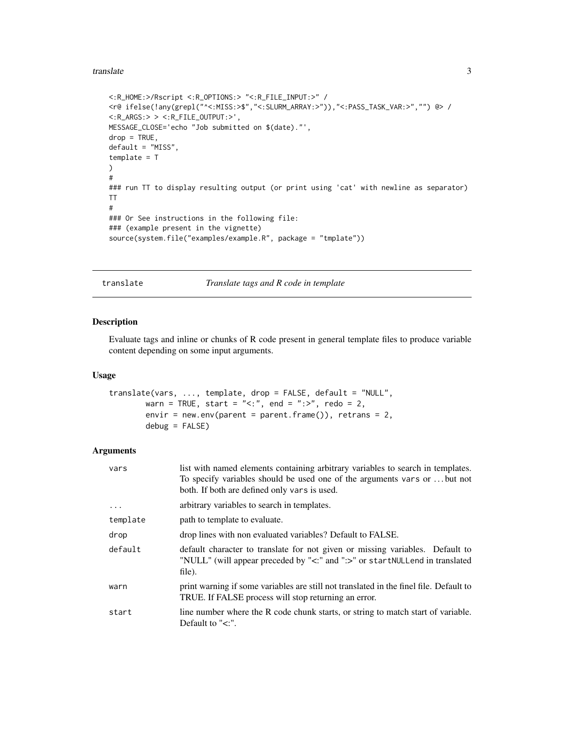#### <span id="page-2-0"></span>translate 3

```
<:R_HOME:>/Rscript <:R_OPTIONS:> "<:R_FILE_INPUT:>" /
<r@ ifelse(!any(grepl("^<:MISS:>$","<:SLURM_ARRAY:>")),"<:PASS_TASK_VAR:>","") @> /
<:R_ARGS:> > <:R_FILE_OUTPUT:>',
MESSAGE_CLOSE='echo "Job submitted on $(date)."',
drop = TRUE,default = "MISS",
template = T
\lambda#
### run TT to display resulting output (or print using 'cat' with newline as separator)
TT
#
### Or See instructions in the following file:
### (example present in the vignette)
source(system.file("examples/example.R", package = "tmplate"))
```
#### translate *Translate tags and R code in template*

#### Description

Evaluate tags and inline or chunks of R code present in general template files to produce variable content depending on some input arguments.

#### Usage

```
translate(vars, ..., template, drop = FALSE, default = "NULL",
       warn = TRUE, start = "<:", end = ":>", redo = 2,
       envir = new.env(parent = parent.frame()), retrans = 2,
       debug = FALSE)
```
#### Arguments

| vars       | list with named elements containing arbitrary variables to search in templates.<br>To specify variables should be used one of the arguments vars or  but not<br>both. If both are defined only vars is used. |
|------------|--------------------------------------------------------------------------------------------------------------------------------------------------------------------------------------------------------------|
| $\ddots$ . | arbitrary variables to search in templates.                                                                                                                                                                  |
| template   | path to template to evaluate.                                                                                                                                                                                |
| drop       | drop lines with non evaluated variables? Default to FALSE.                                                                                                                                                   |
| default    | default character to translate for not given or missing variables. Default to<br>"NULL" (will appear preceded by "<:" and ":>" or startNULLend in translated<br>file).                                       |
| warn       | print warning if some variables are still not translated in the finel file. Default to<br>TRUE. If FALSE process will stop returning an error.                                                               |
| start      | line number where the R code chunk starts, or string to match start of variable.<br>Default to " $\lt$ :".                                                                                                   |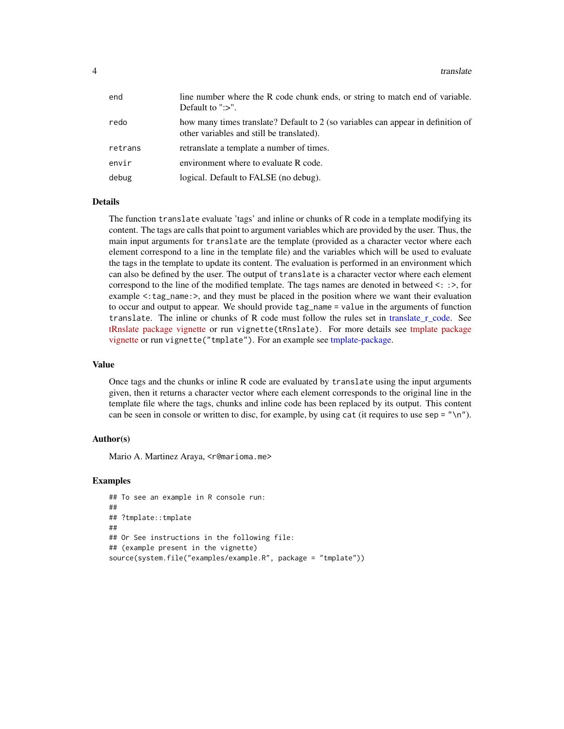<span id="page-3-0"></span>

| end     | line number where the R code chunk ends, or string to match end of variable.<br>Default to " $\gg$ ".                         |
|---------|-------------------------------------------------------------------------------------------------------------------------------|
| redo    | how many times translate? Default to 2 (so variables can appear in definition of<br>other variables and still be translated). |
| retrans | retranslate a template a number of times.                                                                                     |
| envir   | environment where to evaluate R code.                                                                                         |
| debug   | logical. Default to FALSE (no debug).                                                                                         |

#### Details

The function translate evaluate 'tags' and inline or chunks of R code in a template modifying its content. The tags are calls that point to argument variables which are provided by the user. Thus, the main input arguments for translate are the template (provided as a character vector where each element correspond to a line in the template file) and the variables which will be used to evaluate the tags in the template to update its content. The evaluation is performed in an environment which can also be defined by the user. The output of translate is a character vector where each element correspond to the line of the modified template. The tags names are denoted in betweed <: :>, for example  $\leq$ : tag\_name: $\geq$ , and they must be placed in the position where we want their evaluation to occur and output to appear. We should provide tag\_name = value in the arguments of function translate. The inline or chunks of R code must follow the rules set in translate r code. See [tRnslate package vignette](../../tRnslate/doc/tRnslate.html) or run vignette(tRnslate). For more details see [tmplate package](../doc/tmplate.html) [vignette](../doc/tmplate.html) or run vignette("tmplate"). For an example see [tmplate-package.](#page-1-1)

#### Value

Once tags and the chunks or inline R code are evaluated by translate using the input arguments given, then it returns a character vector where each element corresponds to the original line in the template file where the tags, chunks and inline code has been replaced by its output. This content can be seen in console or written to disc, for example, by using cat (it requires to use sep =  $"\n\n\eta$ ).

#### Author(s)

Mario A. Martinez Araya, <r@marioma.me>

#### Examples

```
## To see an example in R console run:
##
## ?tmplate::tmplate
##
## Or See instructions in the following file:
## (example present in the vignette)
source(system.file("examples/example.R", package = "tmplate"))
```